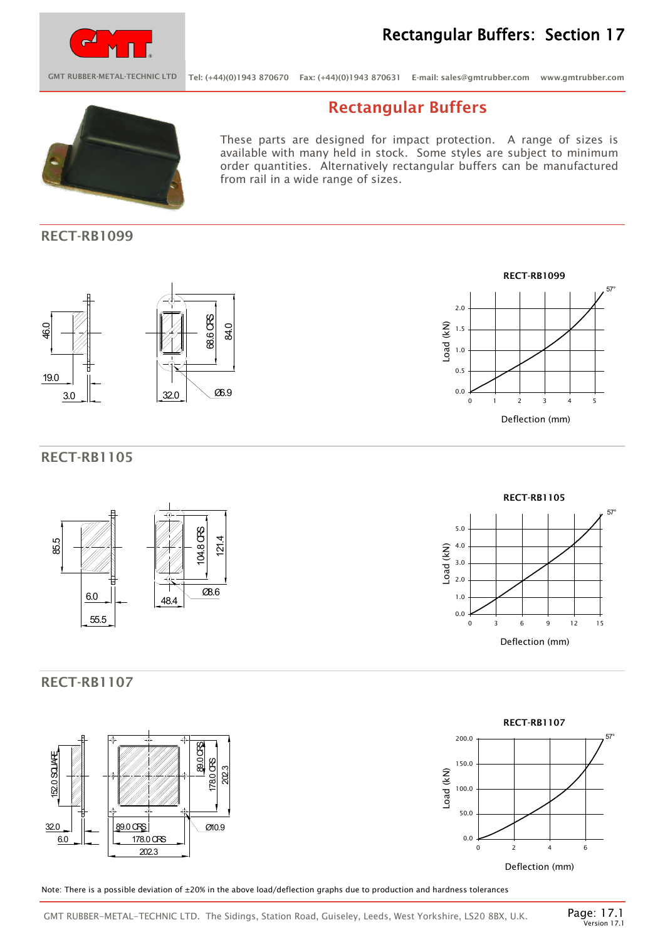

## Rectangular Buffers: Section 17

GMT RUBBER-METAL-TECHNIC LTD Tel: (+44)(0)1943 870670 Fax: (+44)(0)1943 870631 E-mail: sales@gmtrubber.com www.gmtrubber.com

## Rectangular Buffers

These parts are designed for impact protection. A range of sizes is available with many held in stock. Some styles are subject to minimum order quantities. Alternatively rectangular buffers can be manufactured from rail in a wide range of sizes.

## RECT-RB1099





### RECT-RB1105



## RECT-RB1107







Note: There is a possible deviation of ±20% in the above load/deflection graphs due to production and hardness tolerances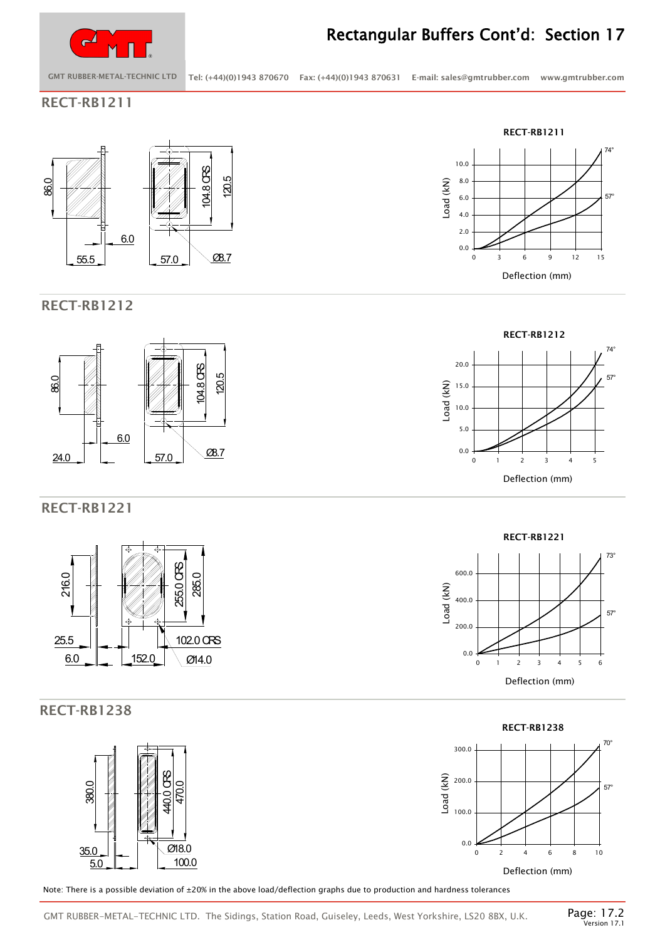

# Rectangular Buffers Cont'd: Section 17

GMT RUBBER-METAL-TECHNIC LTD Tel: (+44)(0)1943 870670 Fax: (+44)(0)1943 870631 E-mail: sales@gmtrubber.com www.gmtrubber.com

RECT-RB1211





## RECT-RB1221



## RECT-RB1238



Note: There is a possible deviation of ±20% in the above load/deflection graphs due to production and hardness tolerances









GMT RUBBER-METAL-TECHNIC LTD. The Sidings, Station Road, Guiseley, Leeds, West Yorkshire, LS20 8BX, U.K.